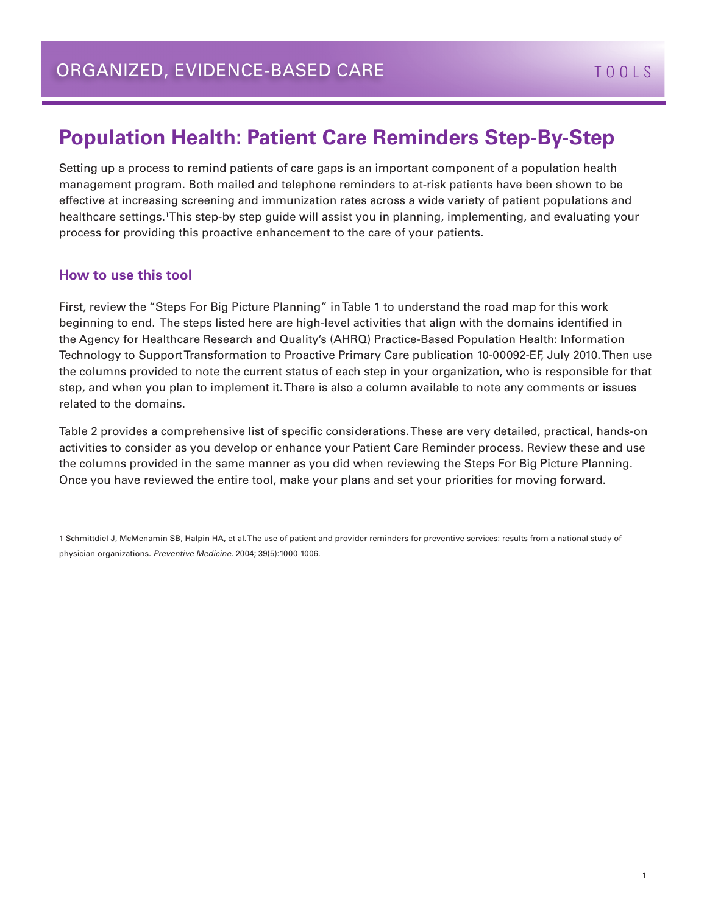#### **Population Health: Patient Care Reminders Step-By-Step**

Setting up a process to remind patients of care gaps is an important component of a population health management program. Both mailed and telephone reminders to at-risk patients have been shown to be effective at increasing screening and immunization rates across a wide variety of patient populations and healthcare settings.1This step-by step guide will assist you in planning, implementing, and evaluating your process for providing this proactive enhancement to the care of your patients.

#### **How to use this tool**

First, review the "Steps For Big Picture Planning" in Table 1 to understand the road map for this work beginning to end. The steps listed here are high-level activities that align with the domains identified in the Agency for Healthcare Research and Quality's (AHRQ) Practice-Based Population Health: Information Technology to Support Transformation to Proactive Primary Care publication 10-00092-EF, July 2010. Then use the columns provided to note the current status of each step in your organization, who is responsible for that step, and when you plan to implement it. There is also a column available to note any comments or issues related to the domains.

Table 2 provides a comprehensive list of specific considerations. These are very detailed, practical, hands-on activities to consider as you develop or enhance your Patient Care Reminder process. Review these and use the columns provided in the same manner as you did when reviewing the Steps For Big Picture Planning. Once you have reviewed the entire tool, make your plans and set your priorities for moving forward.

1 Schmittdiel J, McMenamin SB, Halpin HA, et al. The use of patient and provider reminders for preventive services: results from a national study of physician organizations. *Preventive Medicine.* 2004; 39(5):1000-1006.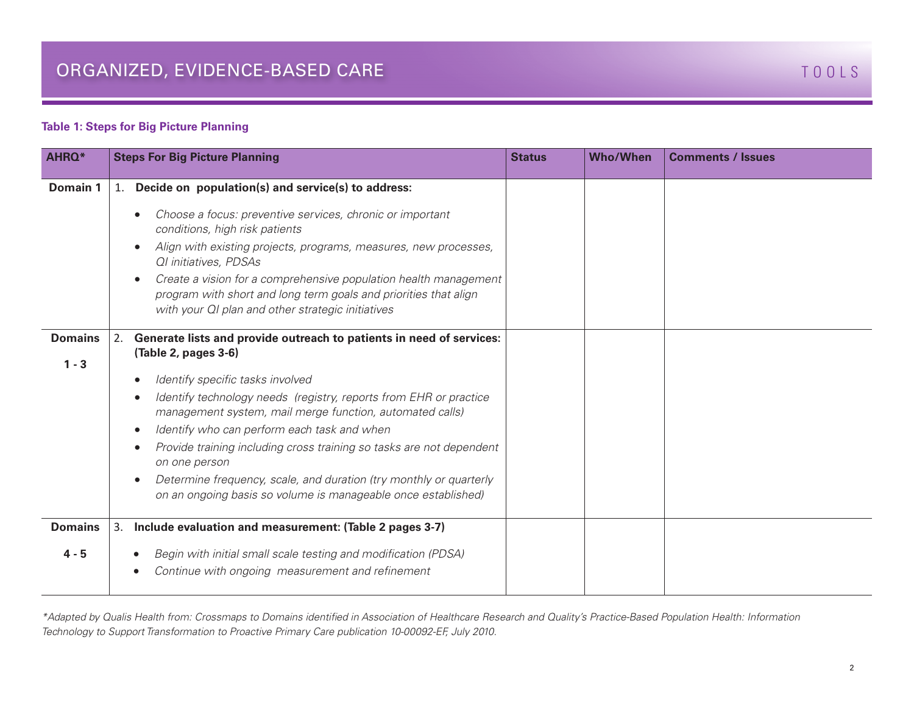#### **Table 1: Steps for Big Picture Planning**

| <b>AHRQ*</b>              | <b>Steps For Big Picture Planning</b>                                                                                                                                                                                                                                                                                                                                                                                                                                                                                                                                                                      | <b>Who/When</b><br><b>Status</b> | <b>Comments / Issues</b> |
|---------------------------|------------------------------------------------------------------------------------------------------------------------------------------------------------------------------------------------------------------------------------------------------------------------------------------------------------------------------------------------------------------------------------------------------------------------------------------------------------------------------------------------------------------------------------------------------------------------------------------------------------|----------------------------------|--------------------------|
| Domain 1                  | Decide on population(s) and service(s) to address:<br>1.<br>Choose a focus: preventive services, chronic or important<br>conditions, high risk patients<br>Align with existing projects, programs, measures, new processes,<br><b>QI</b> initiatives, PDSAs<br>Create a vision for a comprehensive population health management<br>$\bullet$<br>program with short and long term goals and priorities that align<br>with your QI plan and other strategic initiatives                                                                                                                                      |                                  |                          |
| <b>Domains</b><br>$1 - 3$ | Generate lists and provide outreach to patients in need of services:<br>2.<br>(Table 2, pages 3-6)<br>Identify specific tasks involved<br>$\bullet$<br>Identify technology needs (registry, reports from EHR or practice<br>management system, mail merge function, automated calls)<br>Identify who can perform each task and when<br>$\bullet$<br>Provide training including cross training so tasks are not dependent<br>$\bullet$<br>on one person<br>Determine frequency, scale, and duration (try monthly or quarterly<br>$\bullet$<br>on an ongoing basis so volume is manageable once established) |                                  |                          |
| <b>Domains</b><br>$4 - 5$ | Include evaluation and measurement: (Table 2 pages 3-7)<br>3.<br>Begin with initial small scale testing and modification (PDSA)<br>Continue with ongoing measurement and refinement                                                                                                                                                                                                                                                                                                                                                                                                                        |                                  |                          |

*\*Adapted by Qualis Health from: Crossmaps to Domains identified in Association of Healthcare Research and Quality's Practice-Based Population Health: Information Technology to Support Transformation to Proactive Primary Care publication 10-00092-EF, July 2010.*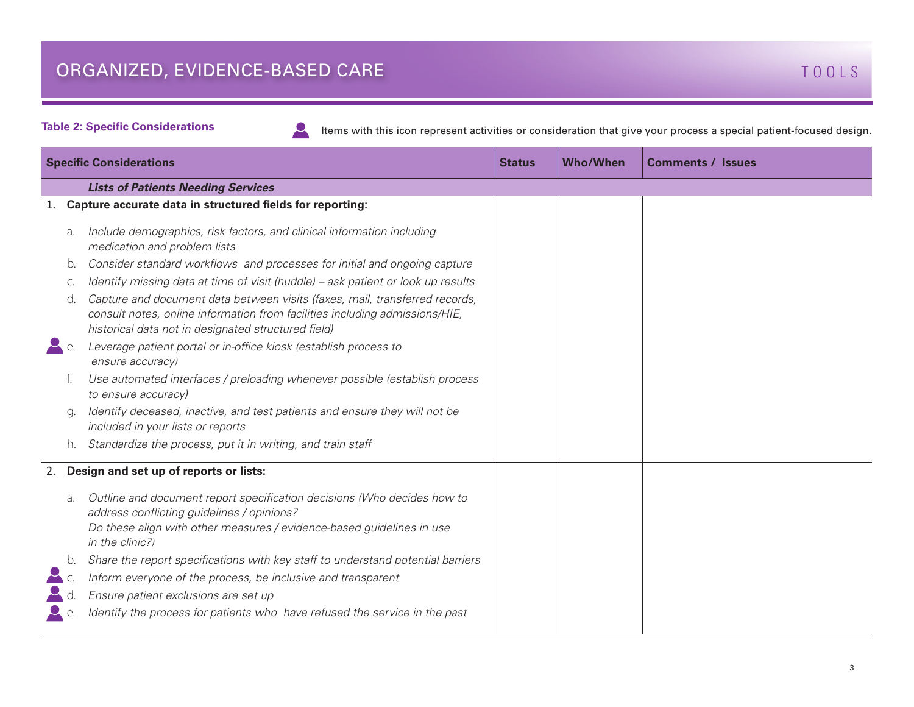**Table 2: Specific Considerations**

 $\mathbf{L}$ 

Items with this icon represent activities or consideration that give your process a special patient-focused design.

| <b>Specific Considerations</b> |                                           | <b>Status</b>                                                                                                                                                                                                     | <b>Who/When</b> | <b>Comments / Issues</b> |  |  |
|--------------------------------|-------------------------------------------|-------------------------------------------------------------------------------------------------------------------------------------------------------------------------------------------------------------------|-----------------|--------------------------|--|--|
|                                | <b>Lists of Patients Needing Services</b> |                                                                                                                                                                                                                   |                 |                          |  |  |
| 1.                             |                                           | Capture accurate data in structured fields for reporting:                                                                                                                                                         |                 |                          |  |  |
|                                | a.                                        | Include demographics, risk factors, and clinical information including<br>medication and problem lists                                                                                                            |                 |                          |  |  |
|                                | b.                                        | Consider standard workflows and processes for initial and ongoing capture                                                                                                                                         |                 |                          |  |  |
|                                | C.                                        | Identify missing data at time of visit (huddle) - ask patient or look up results                                                                                                                                  |                 |                          |  |  |
|                                | d.                                        | Capture and document data between visits (faxes, mail, transferred records,<br>consult notes, online information from facilities including admissions/HIE,<br>historical data not in designated structured field) |                 |                          |  |  |
| $\blacktriangleright$ e.       |                                           | Leverage patient portal or in-office kiosk (establish process to<br>ensure accuracy)                                                                                                                              |                 |                          |  |  |
|                                |                                           | Use automated interfaces / preloading whenever possible (establish process<br>to ensure accuracy)                                                                                                                 |                 |                          |  |  |
|                                | g.                                        | Identify deceased, inactive, and test patients and ensure they will not be<br>included in your lists or reports                                                                                                   |                 |                          |  |  |
|                                | h.                                        | Standardize the process, put it in writing, and train staff                                                                                                                                                       |                 |                          |  |  |
|                                |                                           | 2. Design and set up of reports or lists:                                                                                                                                                                         |                 |                          |  |  |
|                                | a.                                        | Outline and document report specification decisions (Who decides how to<br>address conflicting guidelines / opinions?<br>Do these align with other measures / evidence-based guidelines in use<br>in the clinic?) |                 |                          |  |  |
|                                | b.                                        | Share the report specifications with key staff to understand potential barriers                                                                                                                                   |                 |                          |  |  |
|                                |                                           | Inform everyone of the process, be inclusive and transparent                                                                                                                                                      |                 |                          |  |  |
|                                |                                           | Ensure patient exclusions are set up                                                                                                                                                                              |                 |                          |  |  |
|                                |                                           | Identify the process for patients who have refused the service in the past                                                                                                                                        |                 |                          |  |  |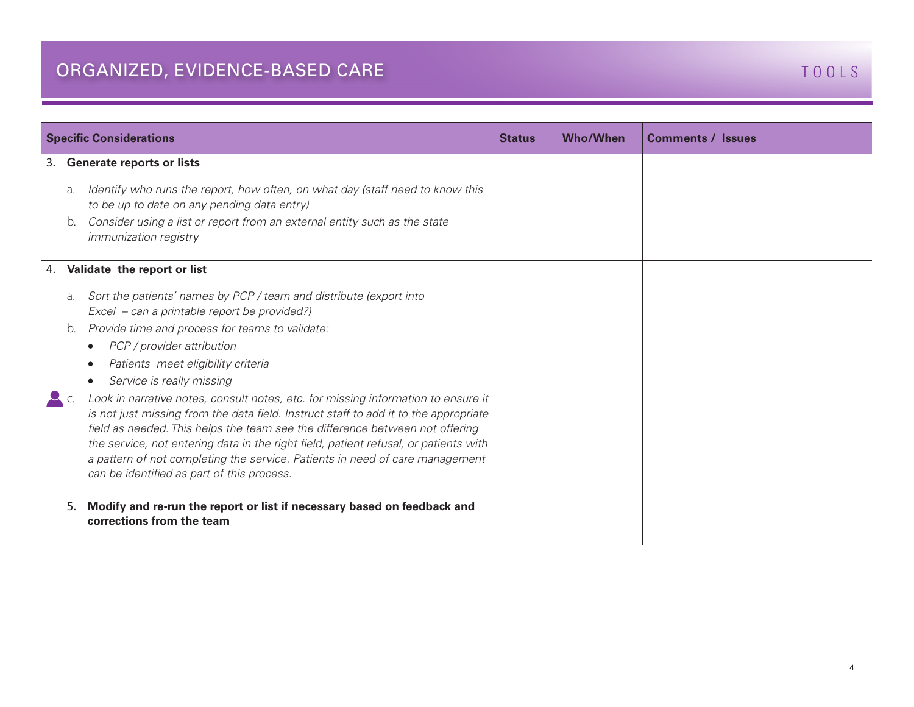|    | <b>Specific Considerations</b> |                                                                                                                                                                                                                                                                                                                                                                                                                                                                                                                                                                                                                                                                                                                                                                                                       | <b>Status</b> | <b>Who/When</b> | <b>Comments / Issues</b> |
|----|--------------------------------|-------------------------------------------------------------------------------------------------------------------------------------------------------------------------------------------------------------------------------------------------------------------------------------------------------------------------------------------------------------------------------------------------------------------------------------------------------------------------------------------------------------------------------------------------------------------------------------------------------------------------------------------------------------------------------------------------------------------------------------------------------------------------------------------------------|---------------|-----------------|--------------------------|
| 3. | a.<br>b.                       | <b>Generate reports or lists</b><br>Identify who runs the report, how often, on what day (staff need to know this<br>to be up to date on any pending data entry)<br>Consider using a list or report from an external entity such as the state<br><i>immunization registry</i>                                                                                                                                                                                                                                                                                                                                                                                                                                                                                                                         |               |                 |                          |
| 4. | a.<br>b.                       | Validate the report or list<br>Sort the patients' names by PCP / team and distribute (export into<br>Excel – can a printable report be provided?)<br>Provide time and process for teams to validate:<br>PCP / provider attribution<br>$\bullet$<br>Patients meet eligibility criteria<br>Service is really missing<br>Look in narrative notes, consult notes, etc. for missing information to ensure it<br>is not just missing from the data field. Instruct staff to add it to the appropriate<br>field as needed. This helps the team see the difference between not offering<br>the service, not entering data in the right field, patient refusal, or patients with<br>a pattern of not completing the service. Patients in need of care management<br>can be identified as part of this process. |               |                 |                          |
|    | 5.                             | Modify and re-run the report or list if necessary based on feedback and<br>corrections from the team                                                                                                                                                                                                                                                                                                                                                                                                                                                                                                                                                                                                                                                                                                  |               |                 |                          |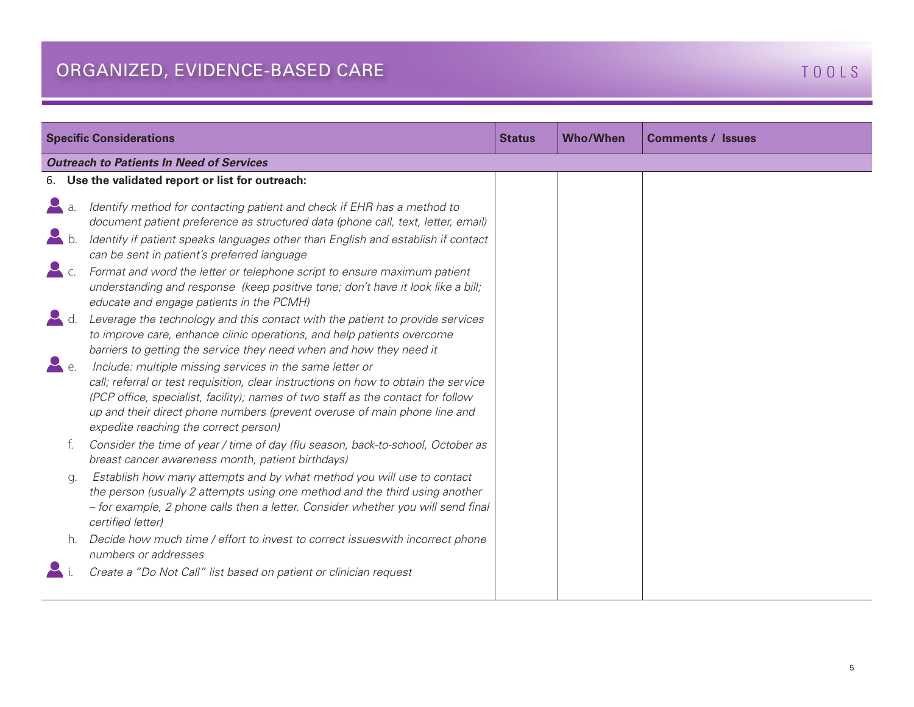| <b>Specific Considerations</b><br><b>Status</b> |                                                                                                                                                                                                                                                                                                                                                           |  | <b>Who/When</b> | <b>Comments / Issues</b> |  |
|-------------------------------------------------|-----------------------------------------------------------------------------------------------------------------------------------------------------------------------------------------------------------------------------------------------------------------------------------------------------------------------------------------------------------|--|-----------------|--------------------------|--|
| <b>Outreach to Patients In Need of Services</b> |                                                                                                                                                                                                                                                                                                                                                           |  |                 |                          |  |
|                                                 | 6. Use the validated report or list for outreach:                                                                                                                                                                                                                                                                                                         |  |                 |                          |  |
|                                                 | Identify method for contacting patient and check if EHR has a method to<br>document patient preference as structured data (phone call, text, letter, email)                                                                                                                                                                                               |  |                 |                          |  |
| $\blacktriangleright$ b.                        | Identify if patient speaks languages other than English and establish if contact<br>can be sent in patient's preferred language                                                                                                                                                                                                                           |  |                 |                          |  |
| $\sum$ c.                                       | Format and word the letter or telephone script to ensure maximum patient<br>understanding and response (keep positive tone; don't have it look like a bill;<br>educate and engage patients in the PCMH)                                                                                                                                                   |  |                 |                          |  |
|                                                 | Leverage the technology and this contact with the patient to provide services<br>to improve care, enhance clinic operations, and help patients overcome<br>barriers to getting the service they need when and how they need it                                                                                                                            |  |                 |                          |  |
| $\blacktriangle$ e.                             | Include: multiple missing services in the same letter or<br>call; referral or test requisition, clear instructions on how to obtain the service<br>(PCP office, specialist, facility); names of two staff as the contact for follow<br>up and their direct phone numbers (prevent overuse of main phone line and<br>expedite reaching the correct person) |  |                 |                          |  |
|                                                 | Consider the time of year / time of day (flu season, back-to-school, October as<br>breast cancer awareness month, patient birthdays)                                                                                                                                                                                                                      |  |                 |                          |  |
| q.                                              | Establish how many attempts and by what method you will use to contact<br>the person (usually 2 attempts using one method and the third using another<br>- for example, 2 phone calls then a letter. Consider whether you will send final<br>certified letter)                                                                                            |  |                 |                          |  |
|                                                 | Decide how much time / effort to invest to correct issueswith incorrect phone<br>numbers or addresses                                                                                                                                                                                                                                                     |  |                 |                          |  |
|                                                 | Create a "Do Not Call" list based on patient or clinician request                                                                                                                                                                                                                                                                                         |  |                 |                          |  |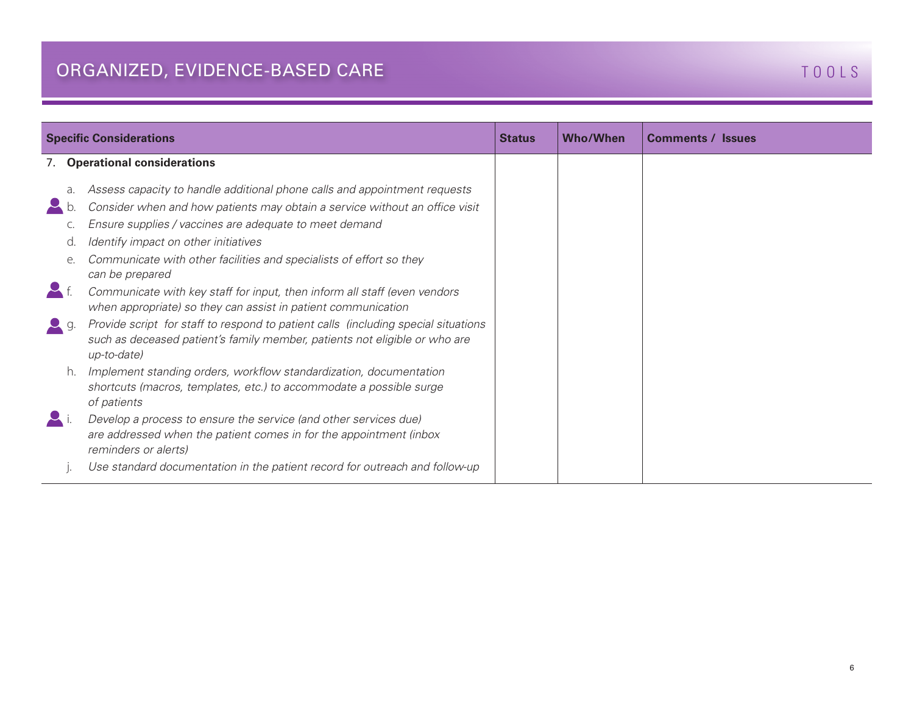| <b>Specific Considerations</b> |                                                                                                                                                                                                                                                                                                                                                                                                                                   |  | <b>Who/When</b> | <b>Comments / Issues</b> |
|--------------------------------|-----------------------------------------------------------------------------------------------------------------------------------------------------------------------------------------------------------------------------------------------------------------------------------------------------------------------------------------------------------------------------------------------------------------------------------|--|-----------------|--------------------------|
|                                | 7. Operational considerations                                                                                                                                                                                                                                                                                                                                                                                                     |  |                 |                          |
| a.<br>d.<br>e.                 | Assess capacity to handle additional phone calls and appointment requests<br>Consider when and how patients may obtain a service without an office visit<br>Ensure supplies / vaccines are adequate to meet demand<br>Identify impact on other initiatives<br>Communicate with other facilities and specialists of effort so they<br>can be prepared<br>Communicate with key staff for input, then inform all staff (even vendors |  |                 |                          |
| $\sim$ g.                      | when appropriate) so they can assist in patient communication<br>Provide script for staff to respond to patient calls (including special situations<br>such as deceased patient's family member, patients not eligible or who are<br>up-to-date)                                                                                                                                                                                  |  |                 |                          |
| h.                             | Implement standing orders, workflow standardization, documentation<br>shortcuts (macros, templates, etc.) to accommodate a possible surge<br>of patients<br>Develop a process to ensure the service (and other services due)                                                                                                                                                                                                      |  |                 |                          |
|                                | are addressed when the patient comes in for the appointment (inbox<br>reminders or alerts)<br>Use standard documentation in the patient record for outreach and follow-up                                                                                                                                                                                                                                                         |  |                 |                          |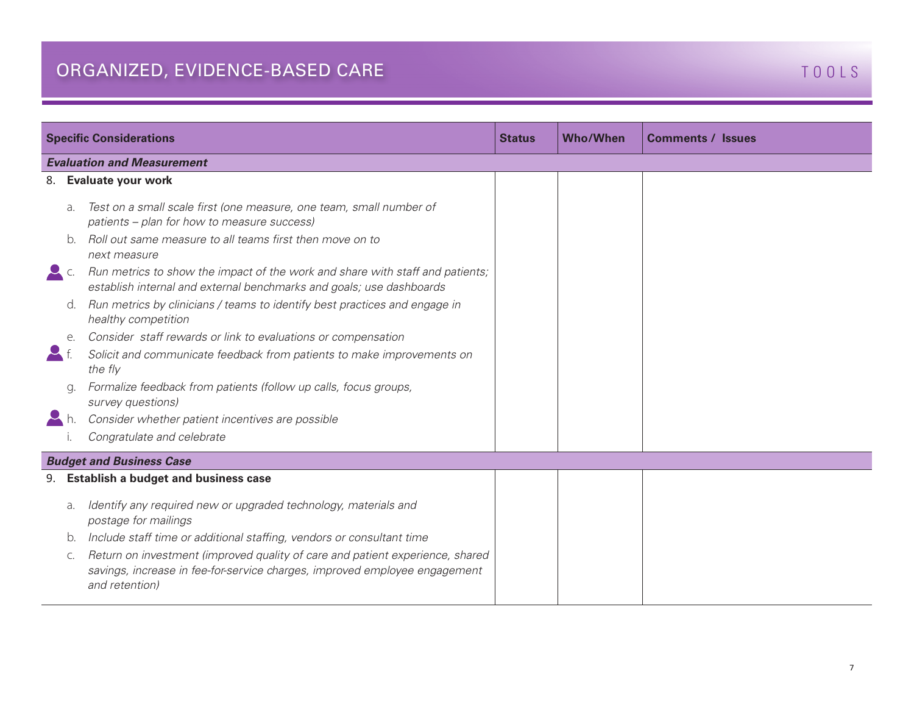| <b>Specific Considerations</b> |                                                                                                                                                                               |  | <b>Who/When</b> | <b>Comments / Issues</b> |  |
|--------------------------------|-------------------------------------------------------------------------------------------------------------------------------------------------------------------------------|--|-----------------|--------------------------|--|
|                                | <b>Evaluation and Measurement</b>                                                                                                                                             |  |                 |                          |  |
|                                | 8. Evaluate your work                                                                                                                                                         |  |                 |                          |  |
| $\partial$ .                   | Test on a small scale first (one measure, one team, small number of<br>patients - plan for how to measure success)                                                            |  |                 |                          |  |
| b.                             | Roll out same measure to all teams first then move on to<br>next measure                                                                                                      |  |                 |                          |  |
| C.                             | Run metrics to show the impact of the work and share with staff and patients;<br>establish internal and external benchmarks and goals; use dashboards                         |  |                 |                          |  |
| d.                             | Run metrics by clinicians / teams to identify best practices and engage in<br>healthy competition                                                                             |  |                 |                          |  |
| $e$ .                          | Consider staff rewards or link to evaluations or compensation                                                                                                                 |  |                 |                          |  |
|                                | Solicit and communicate feedback from patients to make improvements on<br>the fly                                                                                             |  |                 |                          |  |
|                                | Formalize feedback from patients (follow up calls, focus groups,<br>survey questions)                                                                                         |  |                 |                          |  |
|                                | Consider whether patient incentives are possible                                                                                                                              |  |                 |                          |  |
|                                | Congratulate and celebrate                                                                                                                                                    |  |                 |                          |  |
|                                | <b>Budget and Business Case</b>                                                                                                                                               |  |                 |                          |  |
|                                | 9. Establish a budget and business case                                                                                                                                       |  |                 |                          |  |
| a.                             | Identify any required new or upgraded technology, materials and<br>postage for mailings                                                                                       |  |                 |                          |  |
| b.                             | Include staff time or additional staffing, vendors or consultant time                                                                                                         |  |                 |                          |  |
| C.                             | Return on investment (improved quality of care and patient experience, shared<br>savings, increase in fee-for-service charges, improved employee engagement<br>and retention) |  |                 |                          |  |